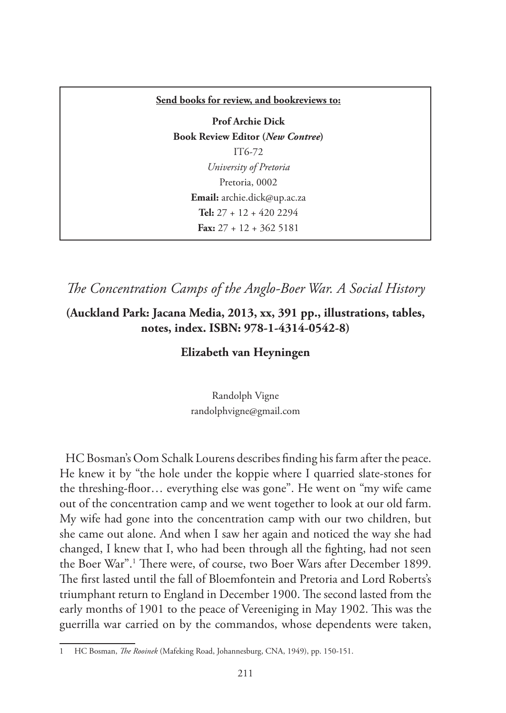#### **Send books for review, and bookreviews to:**

**Prof Archie Dick Book Review Editor (***New Contree***)**  IT6-72 *University of Pretoria* Pretoria, 0002 **Email:** archie.dick@up.ac.za **Tel:** 27 + 12 + 420 2294 **Fax:** 27 + 12 + 362 5181

*The Concentration Camps of the Anglo-Boer War. A Social History*

### **(Auckland Park: Jacana Media, 2013, xx, 391 pp., illustrations, tables, notes, index. ISBN: 978-1-4314-0542-8)**

### **Elizabeth van Heyningen**

Randolph Vigne randolphvigne@gmail.com

HC Bosman's Oom Schalk Lourens describes finding his farm after the peace. He knew it by "the hole under the koppie where I quarried slate-stones for the threshing-floor… everything else was gone". He went on "my wife came out of the concentration camp and we went together to look at our old farm. My wife had gone into the concentration camp with our two children, but she came out alone. And when I saw her again and noticed the way she had changed, I knew that I, who had been through all the fighting, had not seen the Boer War".<sup>1</sup> There were, of course, two Boer Wars after December 1899. The first lasted until the fall of Bloemfontein and Pretoria and Lord Roberts's triumphant return to England in December 1900. The second lasted from the early months of 1901 to the peace of Vereeniging in May 1902. This was the guerrilla war carried on by the commandos, whose dependents were taken,

<sup>1</sup> HC Bosman, *The Rooinek* (Mafeking Road, Johannesburg, CNA, 1949), pp. 150-151.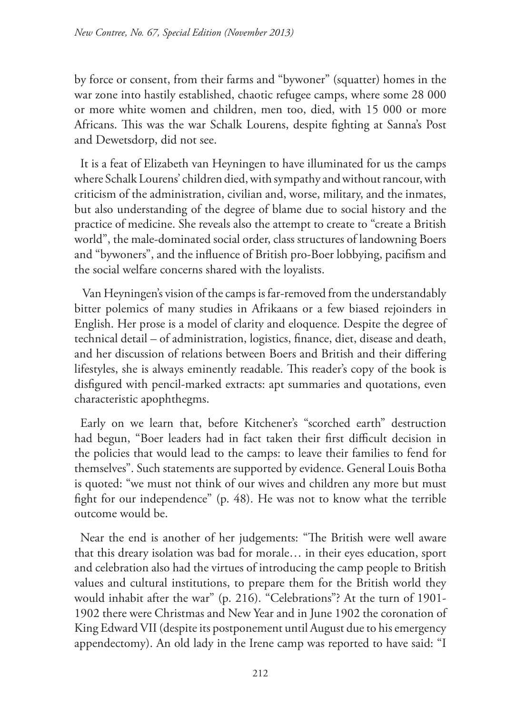by force or consent, from their farms and "bywoner" (squatter) homes in the war zone into hastily established, chaotic refugee camps, where some 28 000 or more white women and children, men too, died, with 15 000 or more Africans. This was the war Schalk Lourens, despite fighting at Sanna's Post and Dewetsdorp, did not see.

It is a feat of Elizabeth van Heyningen to have illuminated for us the camps where Schalk Lourens' children died, with sympathy and without rancour, with criticism of the administration, civilian and, worse, military, and the inmates, but also understanding of the degree of blame due to social history and the practice of medicine. She reveals also the attempt to create to "create a British world", the male-dominated social order, class structures of landowning Boers and "bywoners", and the influence of British pro-Boer lobbying, pacifism and the social welfare concerns shared with the loyalists.

 Van Heyningen's vision of the camps is far-removed from the understandably bitter polemics of many studies in Afrikaans or a few biased rejoinders in English. Her prose is a model of clarity and eloquence. Despite the degree of technical detail – of administration, logistics, finance, diet, disease and death, and her discussion of relations between Boers and British and their differing lifestyles, she is always eminently readable. This reader's copy of the book is disfigured with pencil-marked extracts: apt summaries and quotations, even characteristic apophthegms.

Early on we learn that, before Kitchener's "scorched earth" destruction had begun, "Boer leaders had in fact taken their first difficult decision in the policies that would lead to the camps: to leave their families to fend for themselves". Such statements are supported by evidence. General Louis Botha is quoted: "we must not think of our wives and children any more but must fight for our independence" (p. 48). He was not to know what the terrible outcome would be.

Near the end is another of her judgements: "The British were well aware that this dreary isolation was bad for morale… in their eyes education, sport and celebration also had the virtues of introducing the camp people to British values and cultural institutions, to prepare them for the British world they would inhabit after the war" (p. 216). "Celebrations"? At the turn of 1901- 1902 there were Christmas and New Year and in June 1902 the coronation of King Edward VII (despite its postponement until August due to his emergency appendectomy). An old lady in the Irene camp was reported to have said: "I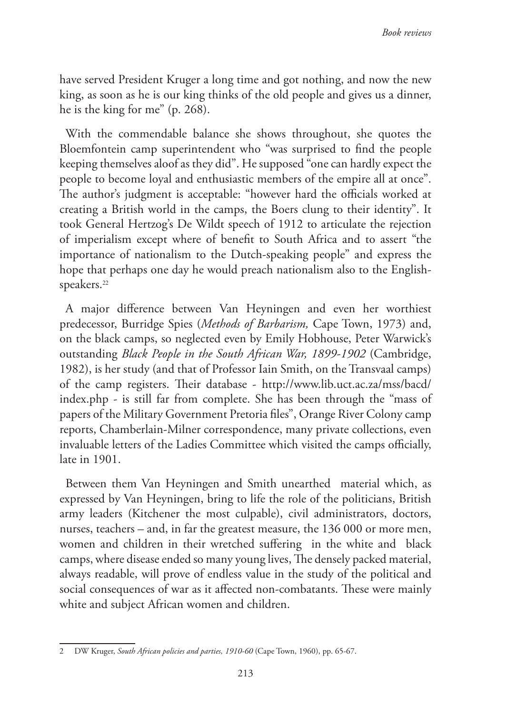have served President Kruger a long time and got nothing, and now the new king, as soon as he is our king thinks of the old people and gives us a dinner, he is the king for me" (p. 268).

With the commendable balance she shows throughout, she quotes the Bloemfontein camp superintendent who "was surprised to find the people keeping themselves aloof as they did". He supposed "one can hardly expect the people to become loyal and enthusiastic members of the empire all at once". The author's judgment is acceptable: "however hard the officials worked at creating a British world in the camps, the Boers clung to their identity". It took General Hertzog's De Wildt speech of 1912 to articulate the rejection of imperialism except where of benefit to South Africa and to assert "the importance of nationalism to the Dutch-speaking people" and express the hope that perhaps one day he would preach nationalism also to the Englishspeakers.<sup>22</sup>

A major difference between Van Heyningen and even her worthiest predecessor, Burridge Spies (*Methods of Barbarism,* Cape Town, 1973) and, on the black camps, so neglected even by Emily Hobhouse, Peter Warwick's outstanding *Black People in the South African War, 1899-1902* (Cambridge, 1982), is her study (and that of Professor Iain Smith, on the Transvaal camps) of the camp registers. Their database - http://www.lib.uct.ac.za/mss/bacd/ index.php - is still far from complete. She has been through the "mass of papers of the Military Government Pretoria files", Orange River Colony camp reports, Chamberlain-Milner correspondence, many private collections, even invaluable letters of the Ladies Committee which visited the camps officially, late in 1901.

Between them Van Heyningen and Smith unearthed material which, as expressed by Van Heyningen, bring to life the role of the politicians, British army leaders (Kitchener the most culpable), civil administrators, doctors, nurses, teachers – and, in far the greatest measure, the 136 000 or more men, women and children in their wretched suffering in the white and black camps, where disease ended so many young lives, The densely packed material, always readable, will prove of endless value in the study of the political and social consequences of war as it affected non-combatants. These were mainly white and subject African women and children.

<sup>2</sup> DW Kruger, *South African policies and parties, 1910-60* (Cape Town, 1960), pp. 65-67.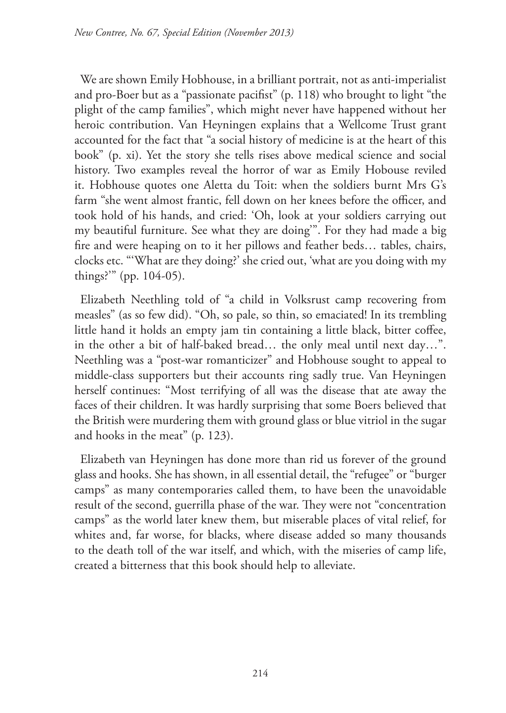We are shown Emily Hobhouse, in a brilliant portrait, not as anti-imperialist and pro-Boer but as a "passionate pacifist" (p. 118) who brought to light "the plight of the camp families", which might never have happened without her heroic contribution. Van Heyningen explains that a Wellcome Trust grant accounted for the fact that "a social history of medicine is at the heart of this book" (p. xi). Yet the story she tells rises above medical science and social history. Two examples reveal the horror of war as Emily Hobouse reviled it. Hobhouse quotes one Aletta du Toit: when the soldiers burnt Mrs G's farm "she went almost frantic, fell down on her knees before the officer, and took hold of his hands, and cried: 'Oh, look at your soldiers carrying out my beautiful furniture. See what they are doing'". For they had made a big fire and were heaping on to it her pillows and feather beds… tables, chairs, clocks etc. "'What are they doing?' she cried out, 'what are you doing with my things?'" (pp. 104-05).

Elizabeth Neethling told of "a child in Volksrust camp recovering from measles" (as so few did). "Oh, so pale, so thin, so emaciated! In its trembling little hand it holds an empty jam tin containing a little black, bitter coffee, in the other a bit of half-baked bread… the only meal until next day…". Neethling was a "post-war romanticizer" and Hobhouse sought to appeal to middle-class supporters but their accounts ring sadly true. Van Heyningen herself continues: "Most terrifying of all was the disease that ate away the faces of their children. It was hardly surprising that some Boers believed that the British were murdering them with ground glass or blue vitriol in the sugar and hooks in the meat" (p. 123).

Elizabeth van Heyningen has done more than rid us forever of the ground glass and hooks. She has shown, in all essential detail, the "refugee" or "burger camps" as many contemporaries called them, to have been the unavoidable result of the second, guerrilla phase of the war. They were not "concentration camps" as the world later knew them, but miserable places of vital relief, for whites and, far worse, for blacks, where disease added so many thousands to the death toll of the war itself, and which, with the miseries of camp life, created a bitterness that this book should help to alleviate.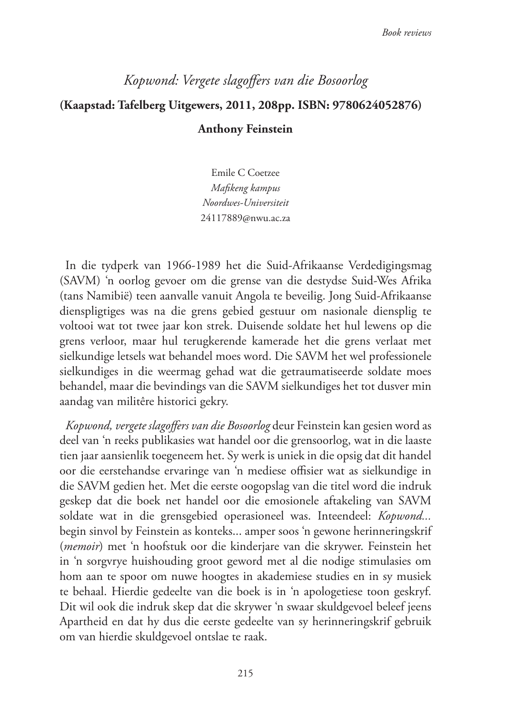# *Kopwond: Vergete slagoffers van die Bosoorlog* **(Kaapstad: Tafelberg Uitgewers, 2011, 208pp. ISBN: 9780624052876) Anthony Feinstein**

Emile C Coetzee *Mafikeng kampus Noordwes-Universiteit*  24117889@nwu.ac.za

In die tydperk van 1966-1989 het die Suid-Afrikaanse Verdedigingsmag (SAVM) 'n oorlog gevoer om die grense van die destydse Suid-Wes Afrika (tans Namibië) teen aanvalle vanuit Angola te beveilig. Jong Suid-Afrikaanse dienspligtiges was na die grens gebied gestuur om nasionale diensplig te voltooi wat tot twee jaar kon strek. Duisende soldate het hul lewens op die grens verloor, maar hul terugkerende kamerade het die grens verlaat met sielkundige letsels wat behandel moes word. Die SAVM het wel professionele sielkundiges in die weermag gehad wat die getraumatiseerde soldate moes behandel, maar die bevindings van die SAVM sielkundiges het tot dusver min aandag van militêre historici gekry.

*Kopwond, vergete slagoffers van die Bosoorlog* deur Feinstein kan gesien word as deel van 'n reeks publikasies wat handel oor die grensoorlog, wat in die laaste tien jaar aansienlik toegeneem het. Sy werk is uniek in die opsig dat dit handel oor die eerstehandse ervaringe van 'n mediese offisier wat as sielkundige in die SAVM gedien het. Met die eerste oogopslag van die titel word die indruk geskep dat die boek net handel oor die emosionele aftakeling van SAVM soldate wat in die grensgebied operasioneel was. Inteendeel: *Kopwond...* begin sinvol by Feinstein as konteks... amper soos 'n gewone herinneringskrif (*memoir*) met 'n hoofstuk oor die kinderjare van die skrywer. Feinstein het in 'n sorgvrye huishouding groot geword met al die nodige stimulasies om hom aan te spoor om nuwe hoogtes in akademiese studies en in sy musiek te behaal. Hierdie gedeelte van die boek is in 'n apologetiese toon geskryf. Dit wil ook die indruk skep dat die skrywer 'n swaar skuldgevoel beleef jeens Apartheid en dat hy dus die eerste gedeelte van sy herinneringskrif gebruik om van hierdie skuldgevoel ontslae te raak.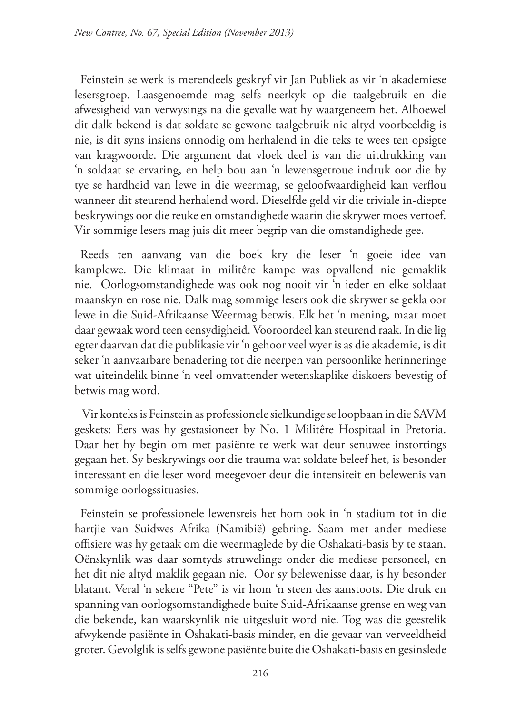Feinstein se werk is merendeels geskryf vir Jan Publiek as vir 'n akademiese lesersgroep. Laasgenoemde mag selfs neerkyk op die taalgebruik en die afwesigheid van verwysings na die gevalle wat hy waargeneem het. Alhoewel dit dalk bekend is dat soldate se gewone taalgebruik nie altyd voorbeeldig is nie, is dit syns insiens onnodig om herhalend in die teks te wees ten opsigte van kragwoorde. Die argument dat vloek deel is van die uitdrukking van 'n soldaat se ervaring, en help bou aan 'n lewensgetroue indruk oor die by tye se hardheid van lewe in die weermag, se geloofwaardigheid kan verflou wanneer dit steurend herhalend word. Dieselfde geld vir die triviale in-diepte beskrywings oor die reuke en omstandighede waarin die skrywer moes vertoef. Vir sommige lesers mag juis dit meer begrip van die omstandighede gee.

Reeds ten aanvang van die boek kry die leser 'n goeie idee van kamplewe. Die klimaat in militêre kampe was opvallend nie gemaklik nie. Oorlogsomstandighede was ook nog nooit vir 'n ieder en elke soldaat maanskyn en rose nie. Dalk mag sommige lesers ook die skrywer se gekla oor lewe in die Suid-Afrikaanse Weermag betwis. Elk het 'n mening, maar moet daar gewaak word teen eensydigheid. Vooroordeel kan steurend raak. In die lig egter daarvan dat die publikasie vir 'n gehoor veel wyer is as die akademie, is dit seker 'n aanvaarbare benadering tot die neerpen van persoonlike herinneringe wat uiteindelik binne 'n veel omvattender wetenskaplike diskoers bevestig of betwis mag word.

 Vir konteks is Feinstein as professionele sielkundige se loopbaan in die SAVM geskets: Eers was hy gestasioneer by No. 1 Militêre Hospitaal in Pretoria. Daar het hy begin om met pasiënte te werk wat deur senuwee instortings gegaan het. Sy beskrywings oor die trauma wat soldate beleef het, is besonder interessant en die leser word meegevoer deur die intensiteit en belewenis van sommige oorlogssituasies.

Feinstein se professionele lewensreis het hom ook in 'n stadium tot in die hartjie van Suidwes Afrika (Namibië) gebring. Saam met ander mediese offisiere was hy getaak om die weermaglede by die Oshakati-basis by te staan. Oënskynlik was daar somtyds struwelinge onder die mediese personeel, en het dit nie altyd maklik gegaan nie. Oor sy belewenisse daar, is hy besonder blatant. Veral 'n sekere "Pete" is vir hom 'n steen des aanstoots. Die druk en spanning van oorlogsomstandighede buite Suid-Afrikaanse grense en weg van die bekende, kan waarskynlik nie uitgesluit word nie. Tog was die geestelik afwykende pasiënte in Oshakati-basis minder, en die gevaar van verveeldheid groter. Gevolglik is selfs gewone pasiënte buite die Oshakati-basis en gesinslede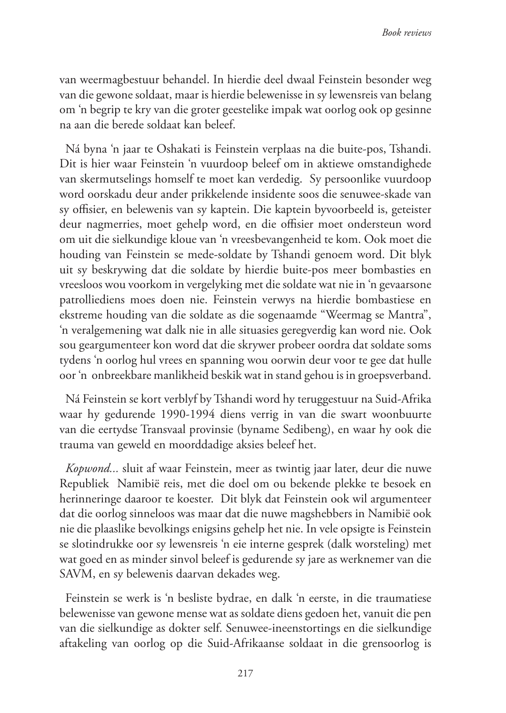van weermagbestuur behandel. In hierdie deel dwaal Feinstein besonder weg van die gewone soldaat, maar is hierdie belewenisse in sy lewensreis van belang om 'n begrip te kry van die groter geestelike impak wat oorlog ook op gesinne na aan die berede soldaat kan beleef.

Ná byna 'n jaar te Oshakati is Feinstein verplaas na die buite-pos, Tshandi. Dit is hier waar Feinstein 'n vuurdoop beleef om in aktiewe omstandighede van skermutselings homself te moet kan verdedig. Sy persoonlike vuurdoop word oorskadu deur ander prikkelende insidente soos die senuwee-skade van sy offisier, en belewenis van sy kaptein. Die kaptein byvoorbeeld is, geteister deur nagmerries, moet gehelp word, en die offisier moet ondersteun word om uit die sielkundige kloue van 'n vreesbevangenheid te kom. Ook moet die houding van Feinstein se mede-soldate by Tshandi genoem word. Dit blyk uit sy beskrywing dat die soldate by hierdie buite-pos meer bombasties en vreesloos wou voorkom in vergelyking met die soldate wat nie in 'n gevaarsone patrolliediens moes doen nie. Feinstein verwys na hierdie bombastiese en ekstreme houding van die soldate as die sogenaamde "Weermag se Mantra", 'n veralgemening wat dalk nie in alle situasies geregverdig kan word nie. Ook sou geargumenteer kon word dat die skrywer probeer oordra dat soldate soms tydens 'n oorlog hul vrees en spanning wou oorwin deur voor te gee dat hulle oor 'n onbreekbare manlikheid beskik wat in stand gehou is in groepsverband.

Ná Feinstein se kort verblyf by Tshandi word hy teruggestuur na Suid-Afrika waar hy gedurende 1990-1994 diens verrig in van die swart woonbuurte van die eertydse Transvaal provinsie (byname Sedibeng), en waar hy ook die trauma van geweld en moorddadige aksies beleef het.

*Kopwond...* sluit af waar Feinstein, meer as twintig jaar later, deur die nuwe Republiek Namibië reis, met die doel om ou bekende plekke te besoek en herinneringe daaroor te koester. Dit blyk dat Feinstein ook wil argumenteer dat die oorlog sinneloos was maar dat die nuwe magshebbers in Namibië ook nie die plaaslike bevolkings enigsins gehelp het nie. In vele opsigte is Feinstein se slotindrukke oor sy lewensreis 'n eie interne gesprek (dalk worsteling) met wat goed en as minder sinvol beleef is gedurende sy jare as werknemer van die SAVM, en sy belewenis daarvan dekades weg.

Feinstein se werk is 'n besliste bydrae, en dalk 'n eerste, in die traumatiese belewenisse van gewone mense wat as soldate diens gedoen het, vanuit die pen van die sielkundige as dokter self. Senuwee-ineenstortings en die sielkundige aftakeling van oorlog op die Suid-Afrikaanse soldaat in die grensoorlog is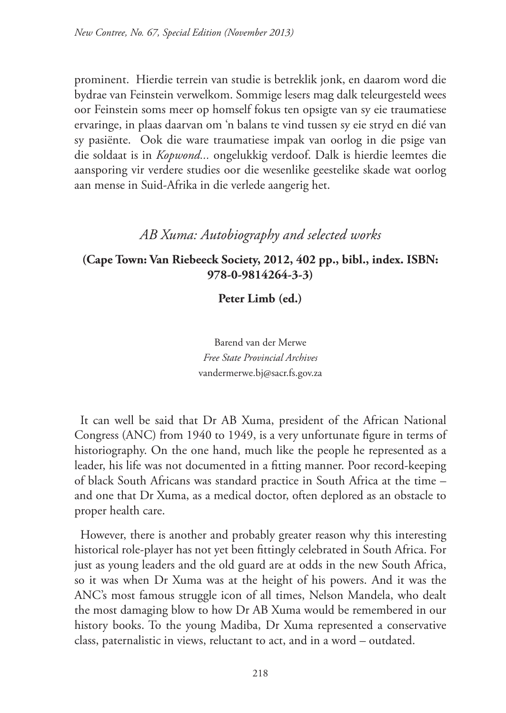prominent. Hierdie terrein van studie is betreklik jonk, en daarom word die bydrae van Feinstein verwelkom. Sommige lesers mag dalk teleurgesteld wees oor Feinstein soms meer op homself fokus ten opsigte van sy eie traumatiese ervaringe, in plaas daarvan om 'n balans te vind tussen sy eie stryd en dié van sy pasiënte. Ook die ware traumatiese impak van oorlog in die psige van die soldaat is in *Kopwond...* ongelukkig verdoof. Dalk is hierdie leemtes die aansporing vir verdere studies oor die wesenlike geestelike skade wat oorlog aan mense in Suid-Afrika in die verlede aangerig het.

## *AB Xuma: Autobiography and selected works*

### **(Cape Town: Van Riebeeck Society, 2012, 402 pp., bibl., index. ISBN: 978-0-9814264-3-3)**

**Peter Limb (ed.)** 

Barend van der Merwe *Free State Provincial Archives* vandermerwe.bj@sacr.fs.gov.za

It can well be said that Dr AB Xuma, president of the African National Congress (ANC) from 1940 to 1949, is a very unfortunate figure in terms of historiography. On the one hand, much like the people he represented as a leader, his life was not documented in a fitting manner. Poor record-keeping of black South Africans was standard practice in South Africa at the time – and one that Dr Xuma, as a medical doctor, often deplored as an obstacle to proper health care.

However, there is another and probably greater reason why this interesting historical role-player has not yet been fittingly celebrated in South Africa. For just as young leaders and the old guard are at odds in the new South Africa, so it was when Dr Xuma was at the height of his powers. And it was the ANC's most famous struggle icon of all times, Nelson Mandela, who dealt the most damaging blow to how Dr AB Xuma would be remembered in our history books. To the young Madiba, Dr Xuma represented a conservative class, paternalistic in views, reluctant to act, and in a word – outdated.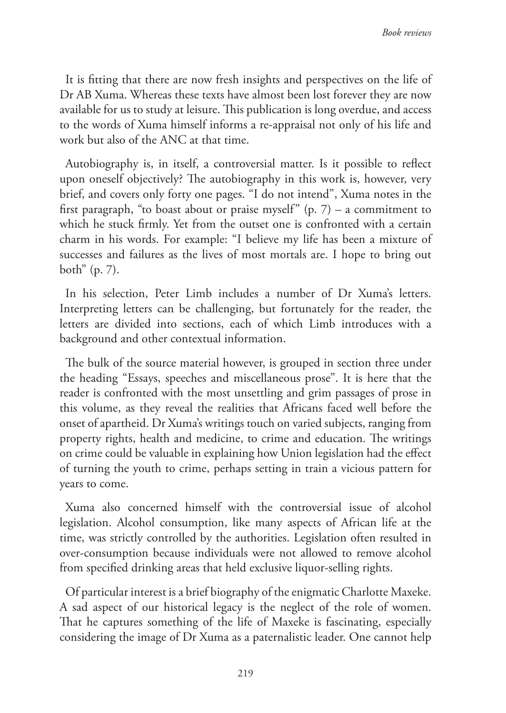It is fitting that there are now fresh insights and perspectives on the life of Dr AB Xuma. Whereas these texts have almost been lost forever they are now available for us to study at leisure. This publication is long overdue, and access to the words of Xuma himself informs a re-appraisal not only of his life and work but also of the ANC at that time.

Autobiography is, in itself, a controversial matter. Is it possible to reflect upon oneself objectively? The autobiography in this work is, however, very brief, and covers only forty one pages. "I do not intend", Xuma notes in the first paragraph, "to boast about or praise myself"  $(p, 7)$  – a commitment to which he stuck firmly. Yet from the outset one is confronted with a certain charm in his words. For example: "I believe my life has been a mixture of successes and failures as the lives of most mortals are. I hope to bring out both" (p. 7).

In his selection, Peter Limb includes a number of Dr Xuma's letters. Interpreting letters can be challenging, but fortunately for the reader, the letters are divided into sections, each of which Limb introduces with a background and other contextual information.

The bulk of the source material however, is grouped in section three under the heading "Essays, speeches and miscellaneous prose". It is here that the reader is confronted with the most unsettling and grim passages of prose in this volume, as they reveal the realities that Africans faced well before the onset of apartheid. Dr Xuma's writings touch on varied subjects, ranging from property rights, health and medicine, to crime and education. The writings on crime could be valuable in explaining how Union legislation had the effect of turning the youth to crime, perhaps setting in train a vicious pattern for years to come.

Xuma also concerned himself with the controversial issue of alcohol legislation. Alcohol consumption, like many aspects of African life at the time, was strictly controlled by the authorities. Legislation often resulted in over-consumption because individuals were not allowed to remove alcohol from specified drinking areas that held exclusive liquor-selling rights.

Of particular interest is a brief biography of the enigmatic Charlotte Maxeke. A sad aspect of our historical legacy is the neglect of the role of women. That he captures something of the life of Maxeke is fascinating, especially considering the image of Dr Xuma as a paternalistic leader. One cannot help